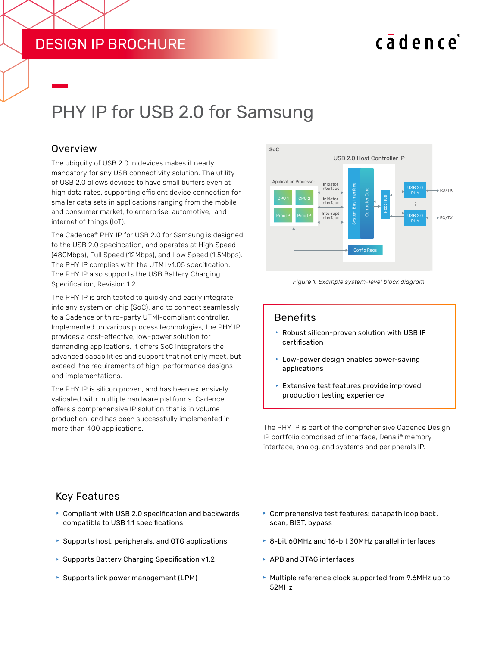# DESIGN IP BROCHURE

# cadence

# PHY IP for USB 2.0 for Samsung

### **Overview**

The ubiquity of USB 2.0 in devices makes it nearly mandatory for any USB connectivity solution. The utility of USB 2.0 allows devices to have small buffers even at high data rates, supporting efficient device connection for smaller data sets in applications ranging from the mobile and consumer market, to enterprise, automotive, and internet of things (IoT).

The Cadence® PHY IP for USB 2.0 for Samsung is designed to the USB 2.0 specification, and operates at High Speed (480Mbps), Full Speed (12Mbps), and Low Speed (1.5Mbps). The PHY IP complies with the UTMI v1.05 specification. The PHY IP also supports the USB Battery Charging Specification, Revision 1.2.

The PHY IP is architected to quickly and easily integrate into any system on chip (SoC), and to connect seamlessly to a Cadence or third-party UTMI-compliant controller. Implemented on various process technologies, the PHY IP provides a cost-effective, low-power solution for demanding applications. It offers SoC integrators the advanced capabilities and support that not only meet, but exceed the requirements of high-performance designs and implementations.

The PHY IP is silicon proven, and has been extensively validated with multiple hardware platforms. Cadence offers a comprehensive IP solution that is in volume production, and has been successfully implemented in more than 400 applications.





#### Benefits

- $\blacktriangleright$  Robust silicon-proven solution with USB IF certification
- $\blacktriangleright$  Low-power design enables power-saving applications
- $\blacktriangleright$  Extensive test features provide improved production testing experience

The PHY IP is part of the comprehensive Cadence Design IP portfolio comprised of interface, Denali® memory interface, analog, and systems and peripherals IP.

#### Key Features

| • Compliant with USB 2.0 specification and backwards<br>compatible to USB 1.1 specifications | • Comprehensive test features: datapath loop back,<br>scan, BIST, bypass |  |  |
|----------------------------------------------------------------------------------------------|--------------------------------------------------------------------------|--|--|
| $\triangleright$ Supports host, peripherals, and OTG applications                            | ▶ 8-bit 60MHz and 16-bit 30MHz parallel interfaces                       |  |  |
| Supports Battery Charging Specification v1.2                                                 | $\triangleright$ APB and JTAG interfaces                                 |  |  |
| ▶ Supports link power management (LPM)                                                       | ▶ Multiple reference clock supported from 9.6MHz up to<br>52MHz          |  |  |